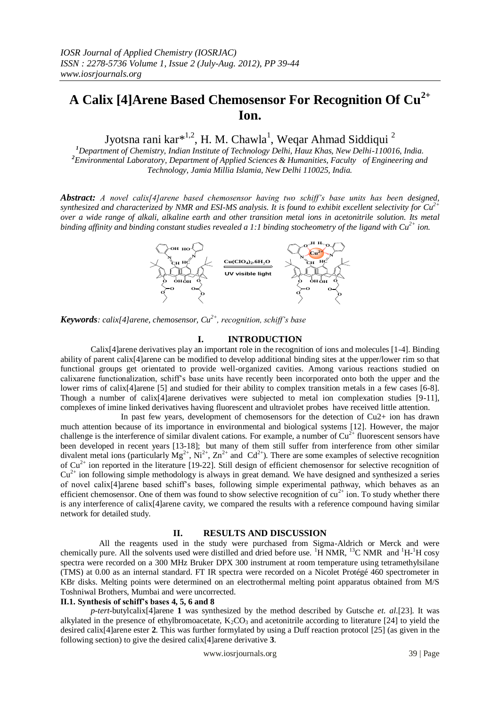# **A Calix [4]Arene Based Chemosensor For Recognition Of Cu2+ Ion.**

Jyotsna rani kar $^{*^{1,2}}$ , H. M. Chawla<sup>1</sup>, Weqar Ahmad Siddiqui <sup>2</sup>

*<sup>1</sup>Department of Chemistry, Indian Institute of Technology Delhi, Hauz Khas, New Delhi-110016, India. <sup>2</sup>Environmental Laboratory, Department of Applied Sciences & Humanities, Faculty of Engineering and Technology, Jamia Millia Islamia, New Delhi 110025, India.*

*Abstract: A novel calix[4]arene based chemosensor having two schiff's base units has been designed, synthesized and characterized by NMR and ESI-MS analysis. It is found to exhibit excellent selectivity for Cu2+ over a wide range of alkali, alkaline earth and other transition metal ions in acetonitrile solution. Its metal binding affinity and binding constant studies revealed a 1:1 binding stocheometry of the ligand with Cu2+ ion.*



*Keywords: calix[4]arene, chemosensor, Cu2+, recognition, schiff's base* 

#### **I. INTRODUCTION**

Calix[4]arene derivatives play an important role in the recognition of ions and molecules [1-4]. Binding ability of parent calix[4]arene can be modified to develop additional binding sites at the upper/lower rim so that functional groups get orientated to provide well-organized cavities. Among various reactions studied on calixarene functionalization, schiff's base units have recently been incorporated onto both the upper and the lower rims of calix[4]arene [5] and studied for their ability to complex transition metals in a few cases [6-8]. Though a number of calix[4]arene derivatives were subjected to metal ion complexation studies [9-11], complexes of imine linked derivatives having fluorescent and ultraviolet probes have received little attention.

 In past few years, development of chemosensors for the detection of Cu2+ ion has drawn much attention because of its importance in environmental and biological systems [12]. However, the major challenge is the interference of similar divalent cations. For example, a number of  $Cu<sup>2+</sup>$  fluorescent sensors have been developed in recent years [13-18]; but many of them still suffer from interference from other similar divalent metal ions (particularly  $Mg^{2+}$ ,  $Ni^{2+}$ ,  $Zn^{2+}$  and  $Cd^{2+}$ ). There are some examples of selective recognition of  $Cu^{2+}$  ion reported in the literature [19-22]. Still design of efficient chemosensor for selective recognition of  $Cu^{2+}$  ion following simple methodology is always in great demand. We have designed and synthesized a series of novel calix[4]arene based schiff's bases, following simple experimental pathway, which behaves as an efficient chemosensor. One of them was found to show selective recognition of  $cu^{2+}$  ion. To study whether there is any interference of calix[4]arene cavity, we compared the results with a reference compound having similar network for detailed study.

#### **II. RESULTS AND DISCUSSION**

 All the reagents used in the study were purchased from Sigma-Aldrich or Merck and were chemically pure. All the solvents used were distilled and dried before use.  ${}^{1}H$  NMR,  ${}^{13}C$  NMR and  ${}^{1}H$ - ${}^{1}H$  cosy spectra were recorded on a 300 MHz Bruker DPX 300 instrument at room temperature using tetramethylsilane (TMS) at 0.00 as an internal standard. FT IR spectra were recorded on a Nicolet Protégé 460 spectrometer in KBr disks. Melting points were determined on an electrothermal melting point apparatus obtained from M/S Toshniwal Brothers, Mumbai and were uncorrected.

### **II.1. Synthesis of schiff's bases 4, 5, 6 and 8**

 *p-tert*-butylcalix[4]arene **1** was synthesized by the method described by Gutsche *et. al*.[23]. It was alkylated in the presence of ethylbromoacetate,  $K_2CO_3$  and acetonitrile according to literature [24] to yield the desired calix[4]arene ester **2**. This was further formylated by using a Duff reaction protocol [25] (as given in the following section) to give the desired calix[4]arene derivative **3**.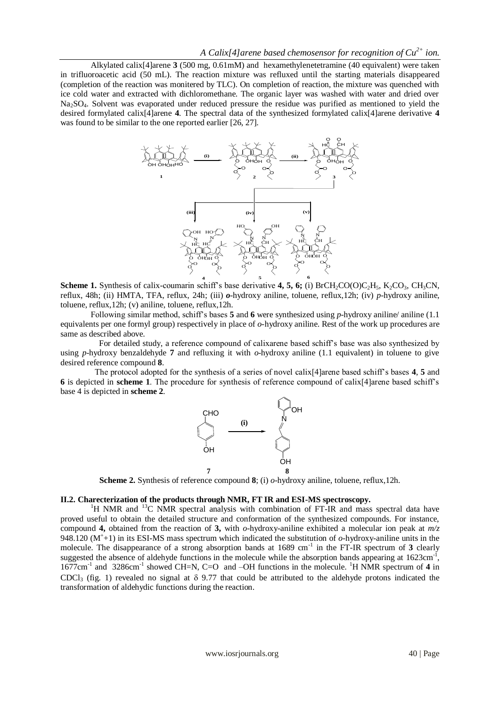Alkylated calix[4]arene **3** (500 mg, 0.61mM) and hexamethylenetetramine (40 equivalent) were taken in trifluoroacetic acid (50 mL). The reaction mixture was refluxed until the starting materials disappeared (completion of the reaction was monitered by TLC). On completion of reaction, the mixture was quenched with ice cold water and extracted with dichloromethane. The organic layer was washed with water and dried over Na2SO4. Solvent was evaporated under reduced pressure the residue was purified as mentioned to yield the desired formylated calix[4]arene **4**. The spectral data of the synthesized formylated calix[4]arene derivative **4** was found to be similar to the one reported earlier [26, 27].



**Scheme 1.** Synthesis of calix-coumarin schiff's base derivative 4, 5, 6; (i) BrCH<sub>2</sub>CO(O)C<sub>2</sub>H<sub>5</sub>, K<sub>2</sub>CO<sub>3</sub>, CH<sub>3</sub>CN, reflux, 48h; (ii) HMTA, TFA, reflux, 24h; (iii) *o*-hydroxy aniline, toluene, reflux,12h; (iv) *p*-hydroxy aniline, toluene, reflux,12h; (v) aniline, toluene, reflux,12h.

 Following similar method, schiff's bases **5** and **6** were synthesized using *p*-hydroxy aniline/ aniline (1.1 equivalents per one formyl group) respectively in place of *o*-hydroxy aniline. Rest of the work up procedures are same as described above.

 For detailed study, a reference compound of calixarene based schiff's base was also synthesized by using *p*-hydroxy benzaldehyde **7** and refluxing it with *o*-hydroxy aniline (1.1 equivalent) in toluene to give desired reference compound **8**.

 The protocol adopted for the synthesis of a series of novel calix[4]arene based schiff's bases **4**, **5** and **6** is depicted in **scheme 1**. The procedure for synthesis of reference compound of calix[4]arene based schiff's base 4 is depicted in **scheme 2**.



**Scheme 2.** Synthesis of reference compound **8**; (i) *o*-hydroxy aniline, toluene, reflux,12h.

#### **II.2. Charecterization of the products through NMR, FT IR and ESI-MS spectroscopy.**

<sup>1</sup>H NMR and <sup>13</sup>C NMR spectral analysis with combination of FT-IR and mass spectral data have proved useful to obtain the detailed structure and conformation of the synthesized compounds. For instance, compound **4,** obtained from the reaction of **3,** with *o*-hydroxy-aniline exhibited a molecular ion peak at *m/z*  948.120  $(M^+ + 1)$  in its ESI-MS mass spectrum which indicated the substitution of  $o$ -hydroxy-aniline units in the molecule. The disappearance of a strong absorption bands at 1689 cm<sup>-1</sup> in the FT-IR spectrum of 3 clearly suggested the absence of aldehyde functions in the molecule while the absorption bands appearing at  $1623 \text{cm}^{-1}$ , 1677cm<sup>-1</sup> and 3286cm<sup>-1</sup> showed CH=N, C=O and -OH functions in the molecule. <sup>1</sup>H NMR spectrum of 4 in CDCl<sub>3</sub> (fig. 1) revealed no signal at  $\delta$  9.77 that could be attributed to the aldehyde protons indicated the transformation of aldehydic functions during the reaction.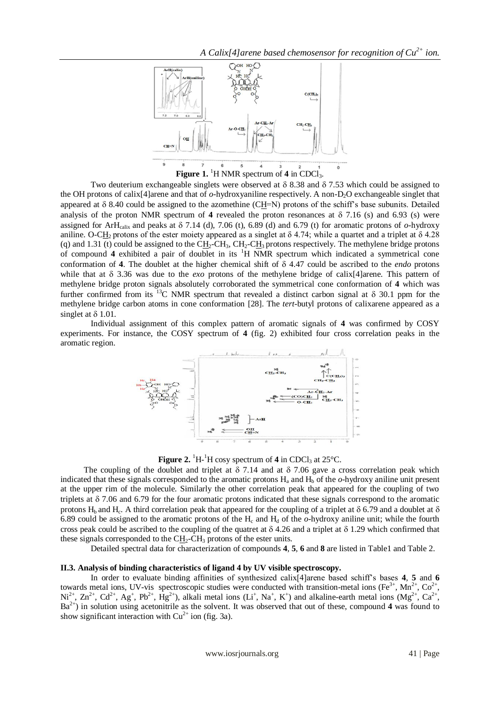

Two deuterium exchangeable singlets were observed at  $\delta$  8.38 and  $\delta$  7.53 which could be assigned to the OH protons of calix<sup>[4]</sup>arene and that of  $o$ -hydroxyaniline respectively. A non-D<sub>2</sub>O exchangeable singlet that appeared at  $\delta$  8.40 could be assigned to the azomethine (CH=N) protons of the schiff's base subunits. Detailed analysis of the proton NMR spectrum of 4 revealed the proton resonances at  $\delta$  7.16 (s) and 6.93 (s) were assigned for ArH<sub>calix</sub> and peaks at  $\delta$  7.14 (d), 7.06 (t), 6.89 (d) and 6.79 (t) for aromatic protons of *o*-hydroxy aniline. O-CH<sub>2</sub> protons of the ester moiety appeared as a singlet at  $\delta$  4.74; while a quartet and a triplet at  $\delta$  4.28 (q) and 1.31 (t) could be assigned to the  $CH_2\text{-}CH_3$ ,  $CH_2\text{-}CH_3$  protons respectively. The methylene bridge protons of compound **4** exhibited a pair of doublet in its <sup>1</sup>H NMR spectrum which indicated a symmetrical cone conformation of **4**. The doublet at the higher chemical shift of 4.47 could be ascribed to the *endo* protons while that at  $\delta$  3.36 was due to the *exo* protons of the methylene bridge of calix<sup>[4]</sup>arene. This pattern of methylene bridge proton signals absolutely corroborated the symmetrical cone conformation of **4** which was further confirmed from its <sup>13</sup>C NMR spectrum that revealed a distinct carbon signal at  $\delta$  30.1 ppm for the methylene bridge carbon atoms in cone conformation [28]. The *tert*-butyl protons of calixarene appeared as a singlet at  $\delta$  1.01.

Individual assignment of this complex pattern of aromatic signals of **4** was confirmed by COSY experiments. For instance, the COSY spectrum of **4** (fig. 2) exhibited four cross correlation peaks in the aromatic region.



**Figure 2.**  ${}^{1}H$ - ${}^{1}H$  cosy spectrum of **4** in CDCl<sub>3</sub> at 25 ${}^{\circ}C$ .

The coupling of the doublet and triplet at  $\delta$  7.14 and at  $\delta$  7.06 gave a cross correlation peak which indicated that these signals corresponded to the aromatic protons  $H<sub>a</sub>$  and  $H<sub>b</sub>$  of the  $o$ -hydroxy aniline unit present at the upper rim of the molecule. Similarly the other correlation peak that appeared for the coupling of two triplets at  $\delta$  7.06 and 6.79 for the four aromatic protons indicated that these signals correspond to the aromatic protons H<sub>b</sub> and H<sub>c</sub>. A third correlation peak that appeared for the coupling of a triplet at  $\delta$  6.79 and a doublet at  $\delta$ 6.89 could be assigned to the aromatic protons of the H<sub>c</sub> and H<sub>d</sub> of the  $o$ -hydroxy aniline unit; while the fourth cross peak could be ascribed to the coupling of the quatret at  $\delta$  4.26 and a triplet at  $\delta$  1.29 which confirmed that these signals corresponded to the  $CH<sub>2</sub>-CH<sub>3</sub>$  protons of the ester units.

Detailed spectral data for characterization of compounds **4**, **5**, **6** and **8** are listed in Table1 and Table 2.

#### **II.3. Analysis of binding characteristics of ligand 4 by UV visible spectroscopy.**

In order to evaluate binding affinities of synthesized calix[4]arene based schiff's bases **4**, **5** and **6** towards metal ions, UV-vis spectroscopic studies were conducted with transition-metal ions (Fe<sup>3+</sup>, Mn<sup>2+</sup>, Co<sup>2+</sup>,  $\mathrm{Ni}^{2+}$ ,  $\mathrm{Zn}^{2+}$ ,  $\mathrm{Cd}^{2+}$ ,  $\mathrm{Ag}^{+}$ ,  $\mathrm{Hg}^{2+}$ ), alkali metal ions (Li<sup>+</sup>, Na<sup>+</sup>, K<sup>+</sup>) and alkaline-earth metal ions (Mg<sup>2+</sup>, Ca<sup>2+</sup>,  $Ba^{2+}$ ) in solution using acetonitrile as the solvent. It was observed that out of these, compound 4 was found to show significant interaction with  $Cu^{2+}$  ion (fig. 3a).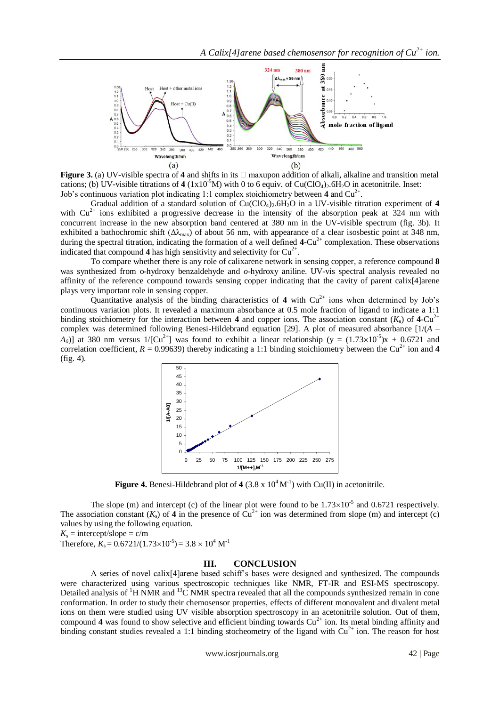

**Figure 3.** (a) UV-visible spectra of **4** and shifts in its  $\Box$  maxupon addition of alkali, alkaline and transition metal cations; (b) UV-visible titrations of  $4 \frac{(1 \times 10^{-5} M)}{W}$  with 0 to 6 equiv. of Cu(ClO<sub>4</sub>)<sub>2</sub>.6H<sub>2</sub>O in acetonitrile. Inset: Job's continuous variation plot indicating 1:1 complex stoichiometry between  $4$  and  $Cu^{2+}$ .

Gradual addition of a standard solution of  $Cu(CIO<sub>4</sub>)<sub>2</sub>·6H<sub>2</sub>O$  in a UV-visible titration experiment of 4 with  $Cu^{2+}$  ions exhibited a progressive decrease in the intensity of the absorption peak at 324 nm with concurrent increase in the new absorption band centered at 380 nm in the UV-visible spectrum (fig. 3b). It exhibited a bathochromic shift  $(\Delta\lambda_{\text{max}})$  of about 56 nm, with appearance of a clear isosbestic point at 348 nm, during the spectral titration, indicating the formation of a well defined  $4$ -Cu<sup>2+</sup> complexation. These observations indicated that compound  $4$  has high sensitivity and selectivity for  $Cu^{2+}$ .

To compare whether there is any role of calixarene network in sensing copper, a reference compound **8** was synthesized from o-hydroxy benzaldehyde and *o*-hydroxy aniline. UV-vis spectral analysis revealed no affinity of the reference compound towards sensing copper indicating that the cavity of parent calix[4]arene plays very important role in sensing copper.

Quantitative analysis of the binding characteristics of 4 with  $Cu^{2+}$  ions when determined by Job's continuous variation plots. It revealed a maximum absorbance at 0.5 mole fraction of ligand to indicate a 1:1 binding stoichiometry for the interaction between **4** and copper ions. The association constant  $(K_s)$  of **4**-Cu<sup>2+</sup> complex was determined following Benesi-Hildebrand equation [29]. A plot of measured absorbance [1/(*A* –  $(A_0)$ ] at 380 nm versus 1/[Cu<sup>2+</sup>] was found to exhibit a linear relationship (y =  $(1.73 \times 10^{-5})$ x + 0.6721 and correlation coefficient,  $R = 0.99639$ ) thereby indicating a 1:1 binding stoichiometry between the Cu<sup>2+</sup> ion and 4 (fig. 4).



**Figure 4.** Benesi-Hildebrand plot of 4 (3.8 x  $10^4$  M<sup>-1</sup>) with Cu(II) in acetonitrile.

The slope (m) and intercept (c) of the linear plot were found to be  $1.73\times10^{-5}$  and 0.6721 respectively. The association constant  $(K_s)$  of **4** in the presence of  $Cu^{2+}$  ion was determined from slope (m) and intercept (c) values by using the following equation.

 $K_s$  = intercept/slope = c/m

## Therefore,  $K_s = 0.6721/(1.73 \times 10^{-5}) = 3.8 \times 10^4 \text{ M}^{-1}$

## **III. CONCLUSION**

A series of novel calix[4]arene based schiff's bases were designed and synthesized. The compounds were characterized using various spectroscopic techniques like NMR, FT-IR and ESI-MS spectroscopy. Detailed analysis of <sup>1</sup>H NMR and <sup>13</sup>C NMR spectra revealed that all the compounds synthesized remain in cone conformation. In order to study their chemosensor properties, effects of different monovalent and divalent metal ions on them were studied using UV visible absorption spectroscopy in an acetonitrile solution. Out of them, compound 4 was found to show selective and efficient binding towards Cu<sup>2+</sup> ion. Its metal binding affinity and binding constant studies revealed a 1:1 binding stocheometry of the ligand with  $Cu^{2+}$  ion. The reason for host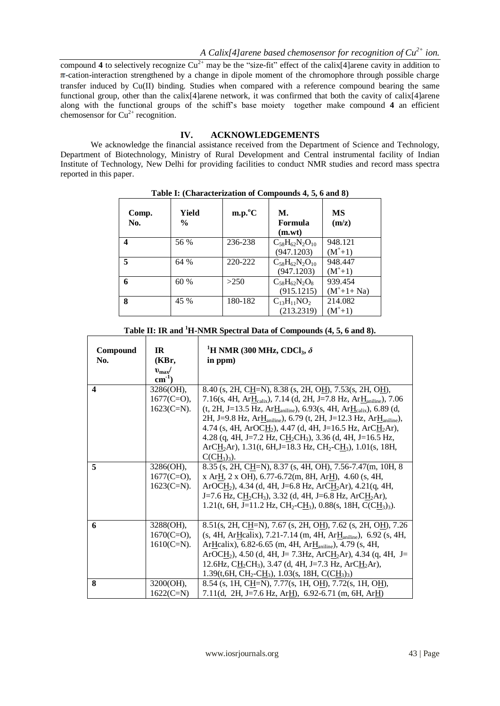compound 4 to selectively recognize  $Cu^{2+}$  may be the "size-fit" effect of the calix[4]arene cavity in addition to  $\pi$ -cation-interaction strengthened by a change in dipole moment of the chromophore through possible charge transfer induced by Cu(II) binding. Studies when compared with a reference compound bearing the same functional group, other than the calix[4]arene network, it was confirmed that both the cavity of calix[4]arene along with the functional groups of the schiff's base moiety together make compound **4** an efficient chemosensor for  $Cu^{2+}$  recognition.

## **IV. ACKNOWLEDGEMENTS**

We acknowledge the financial assistance received from the Department of Science and Technology, Department of Biotechnology, Ministry of Rural Development and Central instrumental facility of Indian Institute of Technology, New Delhi for providing facilities to conduct NMR studies and record mass spectra reported in this paper.

| Comp.<br>No. | Yield<br>$\frac{0}{0}$ | $m.p.^{\circ}C$ | М.<br>Formula<br>(m.wt)               | <b>MS</b><br>(m/z)          |
|--------------|------------------------|-----------------|---------------------------------------|-----------------------------|
| 4            | 56 %                   | 236-238         | $C_{58}H_{62}N_2O_{10}$<br>(947.1203) | 948.121<br>$(M^+ + 1)$      |
| 5            | 64 %                   | 220-222         | $C_{58}H_{62}N_2O_{10}$<br>(947.1203) | 948.447<br>$(M^+ + 1)$      |
| 6            | 60 %                   | >250            | $C_{58}H_{62}N_2O_8$<br>(915.1215)    | 939.454<br>$(M^+ + 1 + Na)$ |
| 8            | 45 %                   | 180-182         | $C_{13}H_{11}NO_2$<br>(213.2319)      | 214.082<br>$(M^+ + 1)$      |

**Table I: (Characterization of Compounds 4, 5, 6 and 8)**

| Table II: IK and TH NNIK Spectral Data of Compounds (4, 5, 6 and 6). |                                               |                                                                                                                                                                                                                                                                                                                                                                                                                                                                                                                                                                                                                                                  |  |  |  |
|----------------------------------------------------------------------|-----------------------------------------------|--------------------------------------------------------------------------------------------------------------------------------------------------------------------------------------------------------------------------------------------------------------------------------------------------------------------------------------------------------------------------------------------------------------------------------------------------------------------------------------------------------------------------------------------------------------------------------------------------------------------------------------------------|--|--|--|
| Compound<br>No.                                                      | IR<br>(KBr,<br>$v_{\rm max}$ /<br>$cm^{-1}$ ) | <sup>1</sup> H NMR (300 MHz, CDCl <sub>3</sub> , $\delta$<br>in ppm)                                                                                                                                                                                                                                                                                                                                                                                                                                                                                                                                                                             |  |  |  |
| $\boldsymbol{4}$                                                     | 3286(OH),<br>$1677(C=0)$ ,<br>$1623$ (C=N).   | 8.40 (s, 2H, CH=N), 8.38 (s, 2H, OH), 7.53 (s, 2H, OH),<br>7.16(s, 4H, Ar $H_{\text{calix}}$ ), 7.14 (d, 2H, J=7.8 Hz, Ar $H_{\text{aniline}}$ ), 7.06<br>(t, 2H, J=13.5 Hz, Ar $H_{\text{aniline}}$ ), 6.93(s, 4H, Ar $H_{\text{calix}}$ ), 6.89 (d,<br>2H, J=9.8 Hz, Ar <sub>Haniline</sub> ), 6.79 (t, 2H, J=12.3 Hz, Ar <sub>Haniline</sub> ),<br>4.74 (s, 4H, ArOCH <sub>2</sub> ), 4.47 (d, 4H, J=16.5 Hz, ArCH <sub>2</sub> Ar),<br>4.28 (q, 4H, J=7.2 Hz, CH <sub>2</sub> CH <sub>3</sub> ), 3.36 (d, 4H, J=16.5 Hz,<br>ArCH <sub>2</sub> Ar), 1.31(t, 6H, J=18.3 Hz, CH <sub>2</sub> -CH <sub>3</sub> ), 1.01(s, 18H,<br>$C(CH_3)_3$ ). |  |  |  |
| 5                                                                    | 3286(OH),<br>$1677(C=0)$ ,<br>$1623$ (C=N).   | 8.35 (s, 2H, CH=N), 8.37 (s, 4H, OH), 7.56-7.47 (m, 10H, 8<br>x ArH, 2 x OH), 6.77-6.72(m, 8H, ArH), 4.60 (s, 4H,<br>ArOCH <sub>2</sub> ), 4.34 (d, 4H, J=6.8 Hz, ArCH <sub>2</sub> Ar), 4.21(q, 4H,<br>J=7.6 Hz, CH <sub>2</sub> CH <sub>3</sub> ), 3.32 (d, 4H, J=6.8 Hz, ArCH <sub>2</sub> Ar),<br>1.21(t, 6H, J=11.2 Hz, CH <sub>2</sub> -CH <sub>3</sub> ), 0.88(s, 18H, C(CH <sub>3</sub> ) <sub>3</sub> ).                                                                                                                                                                                                                                |  |  |  |
| 6                                                                    | 3288(OH),<br>$1670(C=O)$ ,<br>$1610(C=N)$ .   | 8.51(s, 2H, CH=N), 7.67 (s, 2H, OH), 7.62 (s, 2H, OH), 7.26<br>(s, 4H, ArHcalix), 7.21-7.14 (m, 4H, ArH <sub>aniline</sub> ), 6.92 (s, 4H,<br>ArHcalix), 6.82-6.65 (m, 4H, ArH <sub>aniline</sub> ), 4.79 (s, 4H,<br>ArOCH <sub>2</sub> ), 4.50 (d, 4H, J= 7.3Hz, ArCH <sub>2</sub> Ar), 4.34 (q, 4H, J=<br>12.6Hz, CH <sub>2</sub> CH <sub>3</sub> ), 3.47 (d, 4H, J=7.3 Hz, ArCH <sub>2</sub> Ar),<br>1.39(t, 6H, CH <sub>2</sub> -C <u>H</u> <sub>3</sub> ), 1.03(s, 18H, C(C <u>H</u> <sub>3</sub> ) <sub>3</sub> )                                                                                                                          |  |  |  |
| 8                                                                    | 3200(OH),<br>$1622(C=N)$                      | 8.54 (s, 1H, CH=N), 7.77(s, 1H, OH), 7.72(s, 1H, OH),<br>7.11(d, 2H, J=7.6 Hz, ArH), 6.92-6.71 (m, 6H, ArH)                                                                                                                                                                                                                                                                                                                                                                                                                                                                                                                                      |  |  |  |
|                                                                      |                                               |                                                                                                                                                                                                                                                                                                                                                                                                                                                                                                                                                                                                                                                  |  |  |  |

| Table II: IR and <sup>1</sup> H-NMR Spectral Data of Compounds (4, 5, 6 and 8). |  |  |
|---------------------------------------------------------------------------------|--|--|
|---------------------------------------------------------------------------------|--|--|